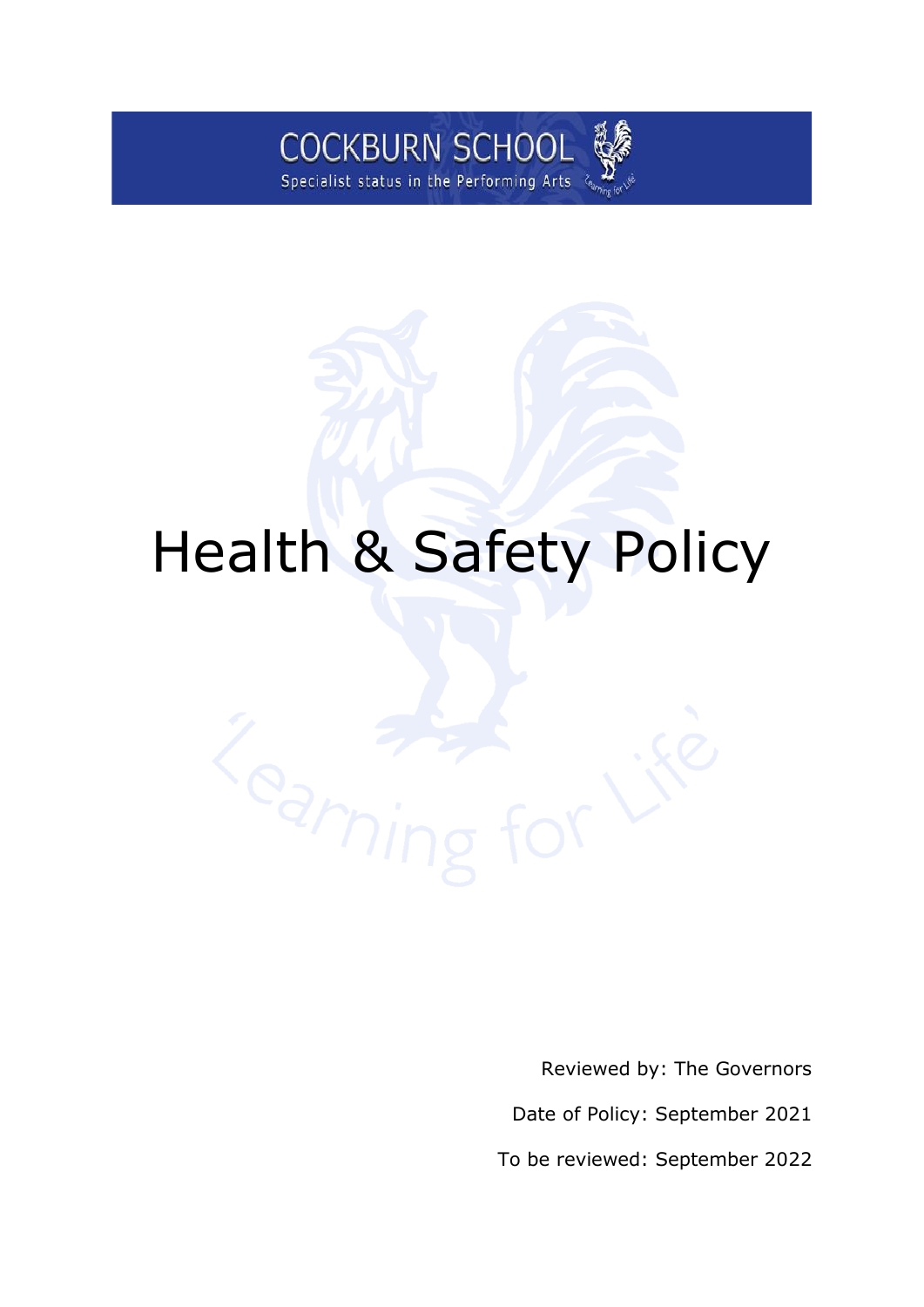

# Health & Safety Policy

Reviewed by: The Governors Date of Policy: September 2021

To be reviewed: September 2022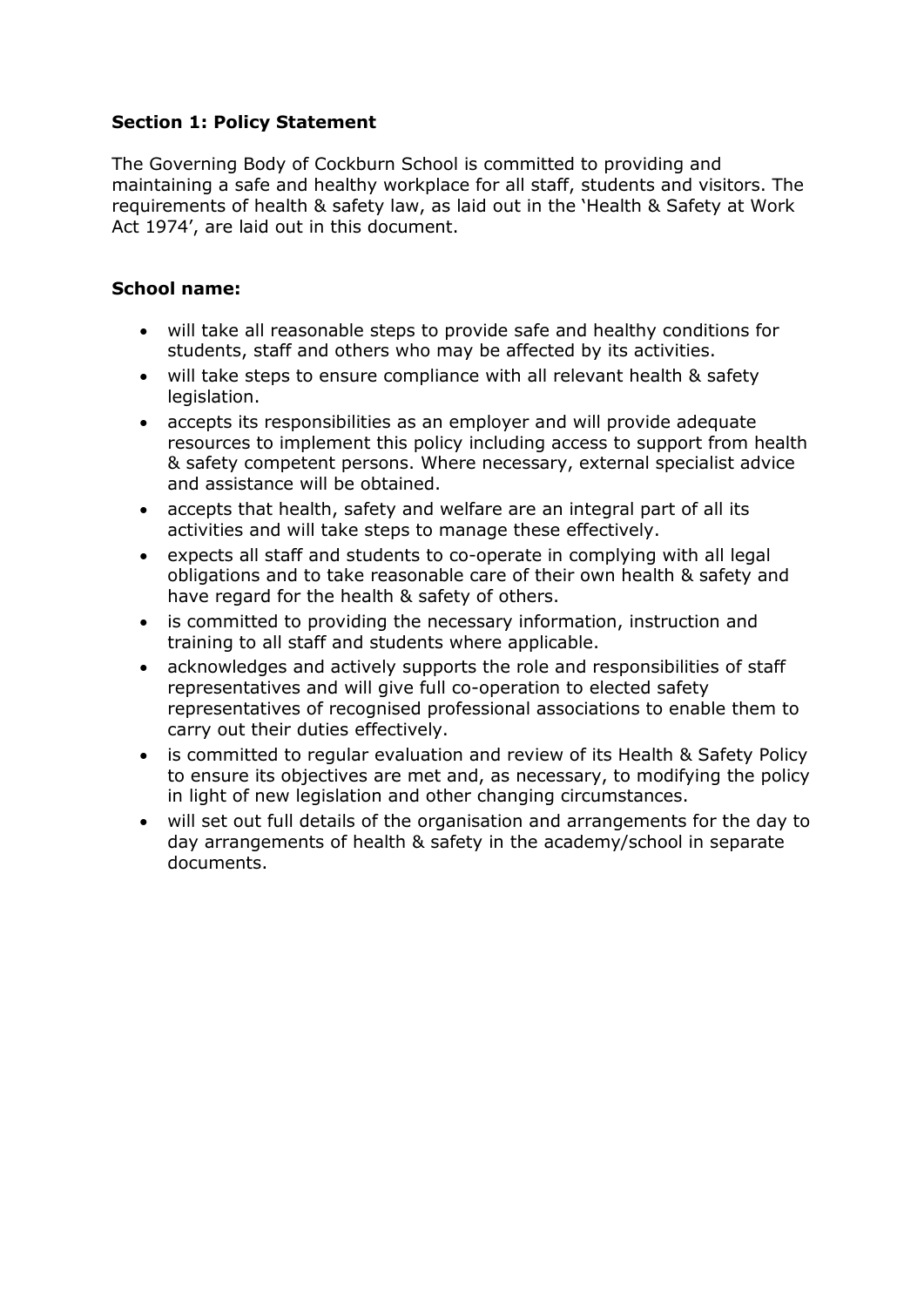## **Section 1: Policy Statement**

The Governing Body of Cockburn School is committed to providing and maintaining a safe and healthy workplace for all staff, students and visitors. The requirements of health & safety law, as laid out in the 'Health & Safety at Work Act 1974', are laid out in this document.

#### **School name:**

- will take all reasonable steps to provide safe and healthy conditions for students, staff and others who may be affected by its activities.
- will take steps to ensure compliance with all relevant health & safety legislation.
- accepts its responsibilities as an employer and will provide adequate resources to implement this policy including access to support from health & safety competent persons. Where necessary, external specialist advice and assistance will be obtained.
- accepts that health, safety and welfare are an integral part of all its activities and will take steps to manage these effectively.
- expects all staff and students to co-operate in complying with all legal obligations and to take reasonable care of their own health & safety and have regard for the health & safety of others.
- is committed to providing the necessary information, instruction and training to all staff and students where applicable.
- acknowledges and actively supports the role and responsibilities of staff representatives and will give full co-operation to elected safety representatives of recognised professional associations to enable them to carry out their duties effectively.
- is committed to regular evaluation and review of its Health & Safety Policy to ensure its objectives are met and, as necessary, to modifying the policy in light of new legislation and other changing circumstances.
- will set out full details of the organisation and arrangements for the day to day arrangements of health & safety in the academy/school in separate documents.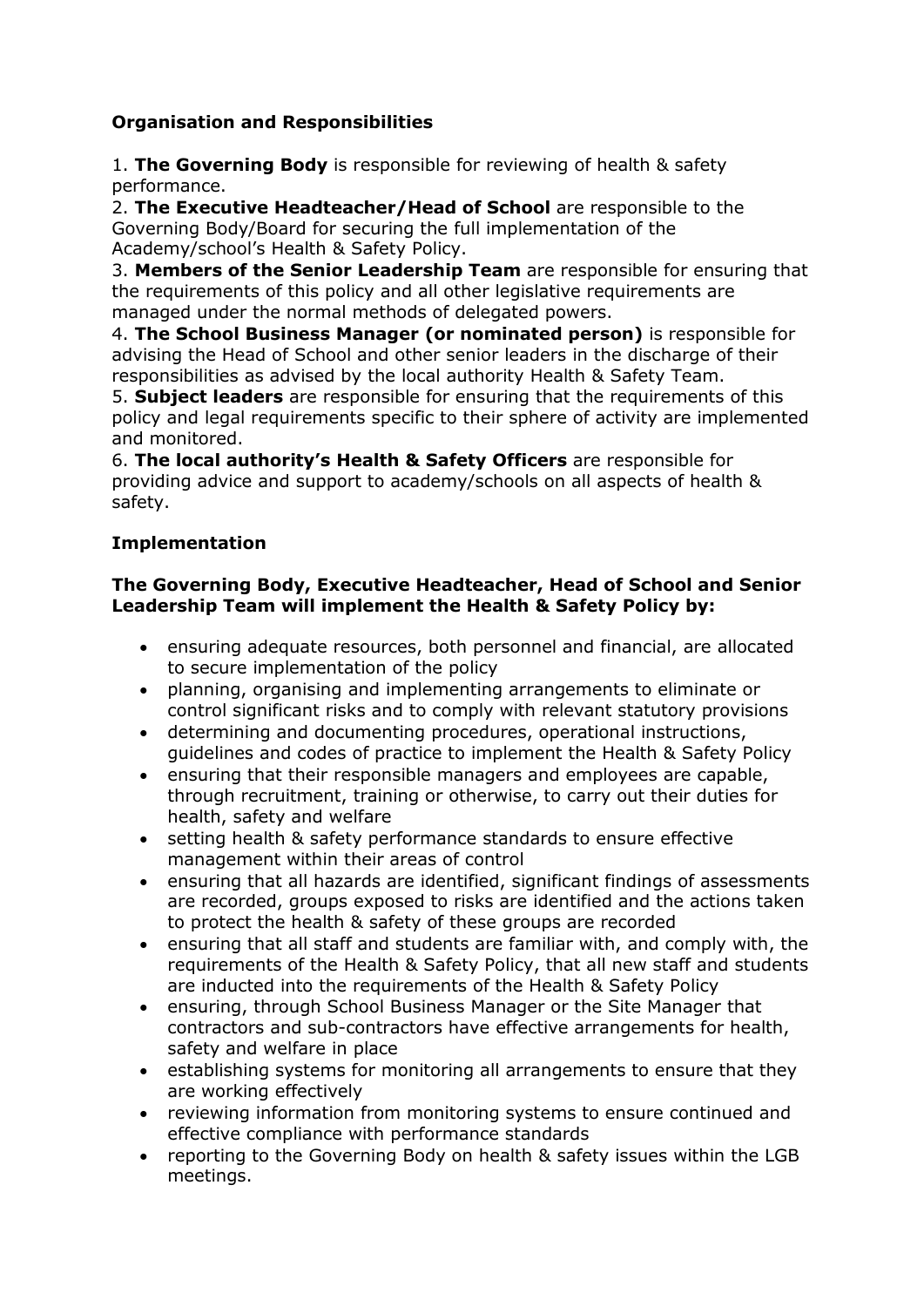# **Organisation and Responsibilities**

1. **The Governing Body** is responsible for reviewing of health & safety performance.

2. **The Executive Headteacher/Head of School** are responsible to the Governing Body/Board for securing the full implementation of the Academy/school's Health & Safety Policy.

3. **Members of the Senior Leadership Team** are responsible for ensuring that the requirements of this policy and all other legislative requirements are managed under the normal methods of delegated powers.

4. **The School Business Manager (or nominated person)** is responsible for advising the Head of School and other senior leaders in the discharge of their responsibilities as advised by the local authority Health & Safety Team.

5. **Subject leaders** are responsible for ensuring that the requirements of this policy and legal requirements specific to their sphere of activity are implemented and monitored.

6. **The local authority's Health & Safety Officers** are responsible for providing advice and support to academy/schools on all aspects of health & safety.

## **Implementation**

## **The Governing Body, Executive Headteacher, Head of School and Senior Leadership Team will implement the Health & Safety Policy by:**

- ensuring adequate resources, both personnel and financial, are allocated to secure implementation of the policy
- planning, organising and implementing arrangements to eliminate or control significant risks and to comply with relevant statutory provisions
- determining and documenting procedures, operational instructions, guidelines and codes of practice to implement the Health & Safety Policy
- ensuring that their responsible managers and employees are capable, through recruitment, training or otherwise, to carry out their duties for health, safety and welfare
- setting health & safety performance standards to ensure effective management within their areas of control
- ensuring that all hazards are identified, significant findings of assessments are recorded, groups exposed to risks are identified and the actions taken to protect the health & safety of these groups are recorded
- ensuring that all staff and students are familiar with, and comply with, the requirements of the Health & Safety Policy, that all new staff and students are inducted into the requirements of the Health & Safety Policy
- ensuring, through School Business Manager or the Site Manager that contractors and sub-contractors have effective arrangements for health, safety and welfare in place
- establishing systems for monitoring all arrangements to ensure that they are working effectively
- reviewing information from monitoring systems to ensure continued and effective compliance with performance standards
- reporting to the Governing Body on health & safety issues within the LGB meetings.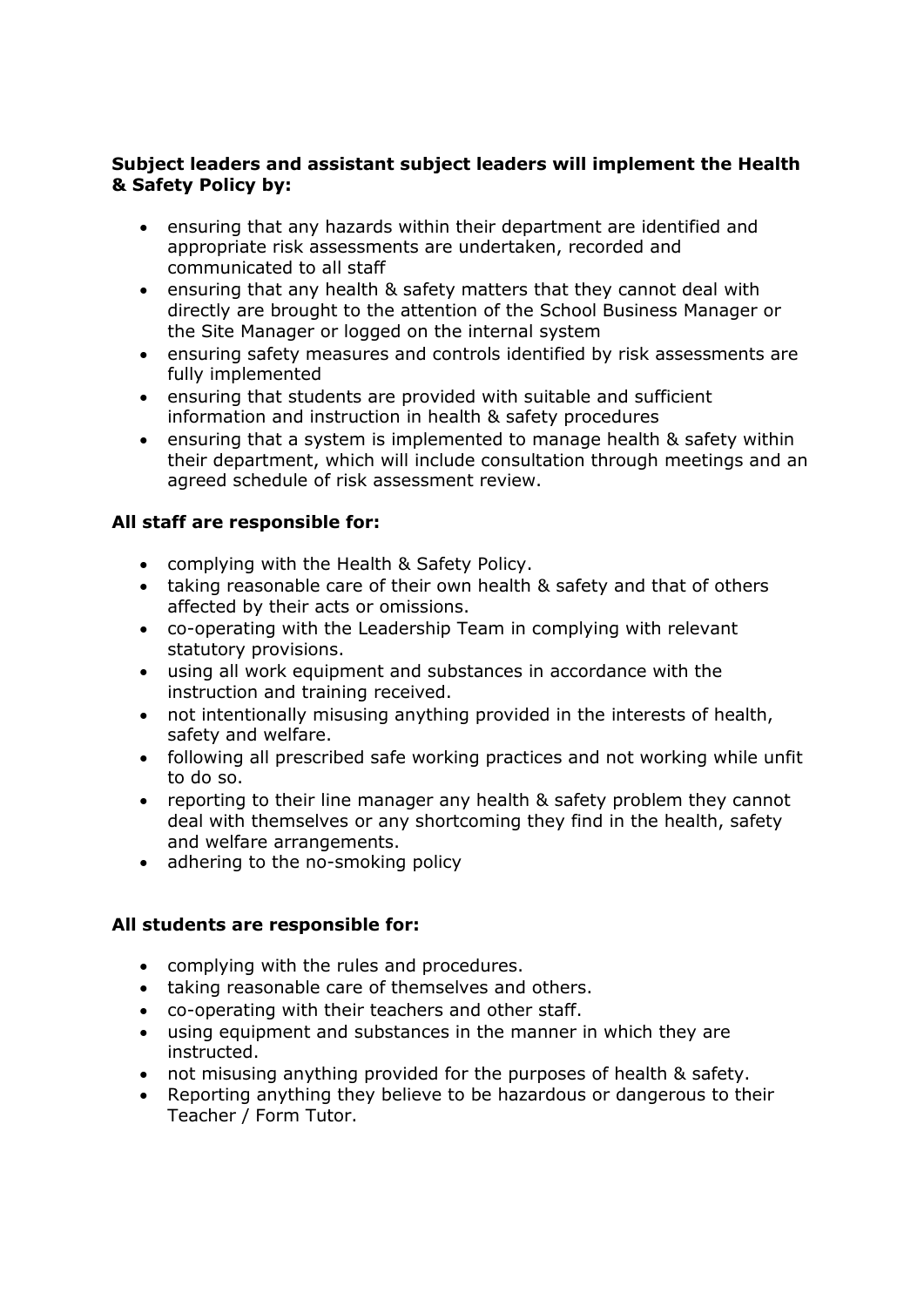## **Subject leaders and assistant subject leaders will implement the Health & Safety Policy by:**

- ensuring that any hazards within their department are identified and appropriate risk assessments are undertaken, recorded and communicated to all staff
- ensuring that any health & safety matters that they cannot deal with directly are brought to the attention of the School Business Manager or the Site Manager or logged on the internal system
- ensuring safety measures and controls identified by risk assessments are fully implemented
- ensuring that students are provided with suitable and sufficient information and instruction in health & safety procedures
- ensuring that a system is implemented to manage health & safety within their department, which will include consultation through meetings and an agreed schedule of risk assessment review.

## **All staff are responsible for:**

- complying with the Health & Safety Policy.
- taking reasonable care of their own health & safety and that of others affected by their acts or omissions.
- co-operating with the Leadership Team in complying with relevant statutory provisions.
- using all work equipment and substances in accordance with the instruction and training received.
- not intentionally misusing anything provided in the interests of health, safety and welfare.
- following all prescribed safe working practices and not working while unfit to do so.
- reporting to their line manager any health & safety problem they cannot deal with themselves or any shortcoming they find in the health, safety and welfare arrangements.
- adhering to the no-smoking policy

#### **All students are responsible for:**

- complying with the rules and procedures.
- taking reasonable care of themselves and others.
- co-operating with their teachers and other staff.
- using equipment and substances in the manner in which they are instructed.
- not misusing anything provided for the purposes of health & safety.
- Reporting anything they believe to be hazardous or dangerous to their Teacher / Form Tutor.